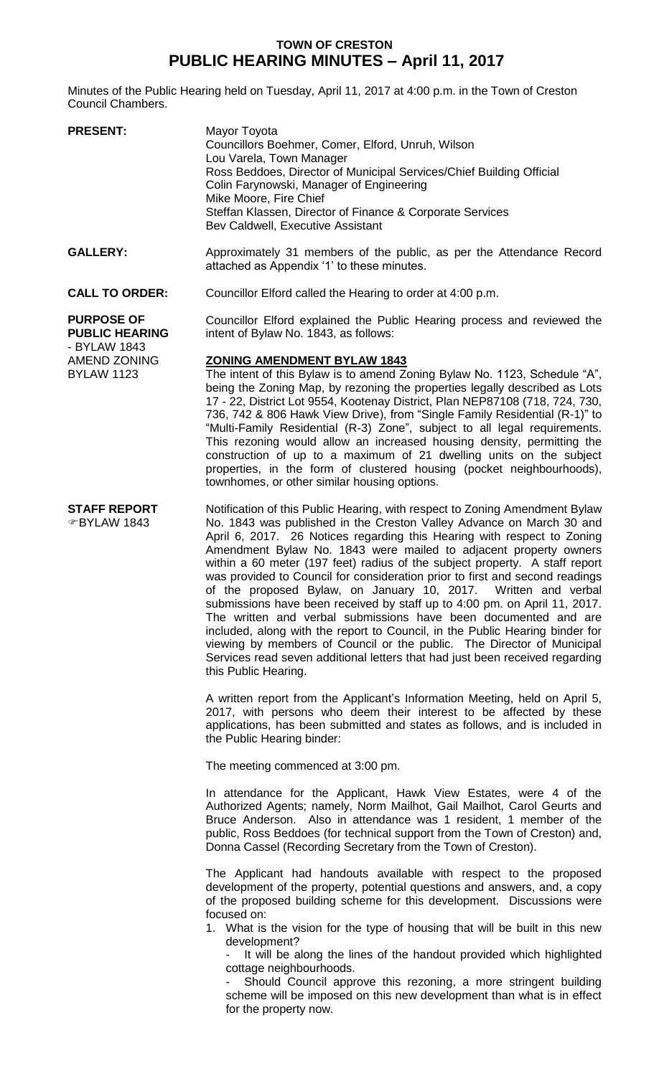## **TOWN OF CRESTON PUBLIC HEARING MINUTES – April 11, 2017**

Minutes of the Public Hearing held on Tuesday, April 11, 2017 at 4:00 p.m. in the Town of Creston Council Chambers.

| <b>PRESENT:</b>                                                                                        | Mayor Toyota<br>Councillors Boehmer, Comer, Elford, Unruh, Wilson<br>Lou Varela, Town Manager<br>Ross Beddoes, Director of Municipal Services/Chief Building Official<br>Colin Farynowski, Manager of Engineering<br>Mike Moore, Fire Chief<br>Steffan Klassen, Director of Finance & Corporate Services<br>Bev Caldwell, Executive Assistant                                                                                                                                                                                                                                                                                                                                                                                                                                                                                          |
|--------------------------------------------------------------------------------------------------------|----------------------------------------------------------------------------------------------------------------------------------------------------------------------------------------------------------------------------------------------------------------------------------------------------------------------------------------------------------------------------------------------------------------------------------------------------------------------------------------------------------------------------------------------------------------------------------------------------------------------------------------------------------------------------------------------------------------------------------------------------------------------------------------------------------------------------------------|
| <b>GALLERY:</b>                                                                                        | Approximately 31 members of the public, as per the Attendance Record<br>attached as Appendix '1' to these minutes.                                                                                                                                                                                                                                                                                                                                                                                                                                                                                                                                                                                                                                                                                                                     |
| <b>CALL TO ORDER:</b>                                                                                  | Councillor Elford called the Hearing to order at 4:00 p.m.                                                                                                                                                                                                                                                                                                                                                                                                                                                                                                                                                                                                                                                                                                                                                                             |
| <b>PURPOSE OF</b><br><b>PUBLIC HEARING</b><br>- BYLAW 1843<br><b>AMEND ZONING</b><br><b>BYLAW 1123</b> | Councillor Elford explained the Public Hearing process and reviewed the<br>intent of Bylaw No. 1843, as follows:<br><b>ZONING AMENDMENT BYLAW 1843</b><br>The intent of this Bylaw is to amend Zoning Bylaw No. 1123, Schedule "A",<br>being the Zoning Map, by rezoning the properties legally described as Lots<br>17 - 22, District Lot 9554, Kootenay District, Plan NEP87108 (718, 724, 730,<br>736, 742 & 806 Hawk View Drive), from "Single Family Residential (R-1)" to<br>"Multi-Family Residential (R-3) Zone", subject to all legal requirements.<br>This rezoning would allow an increased housing density, permitting the<br>construction of up to a maximum of 21 dwelling units on the subject<br>properties, in the form of clustered housing (pocket neighbourhoods),<br>townhomes, or other similar housing options. |
| <b>STAFF REPORT</b><br>☞BYLAW 1843                                                                     | Notification of this Public Hearing, with respect to Zoning Amendment Bylaw<br>No. 1843 was published in the Creston Valley Advance on March 30 and<br>April 6, 2017. 26 Notices regarding this Hearing with respect to Zoning<br>Amendment Bylaw No. 1843 were mailed to adjacent property owners                                                                                                                                                                                                                                                                                                                                                                                                                                                                                                                                     |

Amendment Bylaw No. 1843 were mailed to adjacent property owners within a 60 meter (197 feet) radius of the subject property. A staff report was provided to Council for consideration prior to first and second readings of the proposed Bylaw, on January 10, 2017. Written and verbal submissions have been received by staff up to 4:00 pm. on April 11, 2017. The written and verbal submissions have been documented and are included, along with the report to Council, in the Public Hearing binder for viewing by members of Council or the public. The Director of Municipal Services read seven additional letters that had just been received regarding this Public Hearing.

A written report from the Applicant's Information Meeting, held on April 5, 2017, with persons who deem their interest to be affected by these applications, has been submitted and states as follows, and is included in the Public Hearing binder:

The meeting commenced at 3:00 pm.

In attendance for the Applicant, Hawk View Estates, were 4 of the Authorized Agents; namely, Norm Mailhot, Gail Mailhot, Carol Geurts and Bruce Anderson. Also in attendance was 1 resident, 1 member of the public, Ross Beddoes (for technical support from the Town of Creston) and, Donna Cassel (Recording Secretary from the Town of Creston).

The Applicant had handouts available with respect to the proposed development of the property, potential questions and answers, and, a copy of the proposed building scheme for this development. Discussions were focused on:

1. What is the vision for the type of housing that will be built in this new development?

It will be along the lines of the handout provided which highlighted cottage neighbourhoods.

Should Council approve this rezoning, a more stringent building scheme will be imposed on this new development than what is in effect for the property now.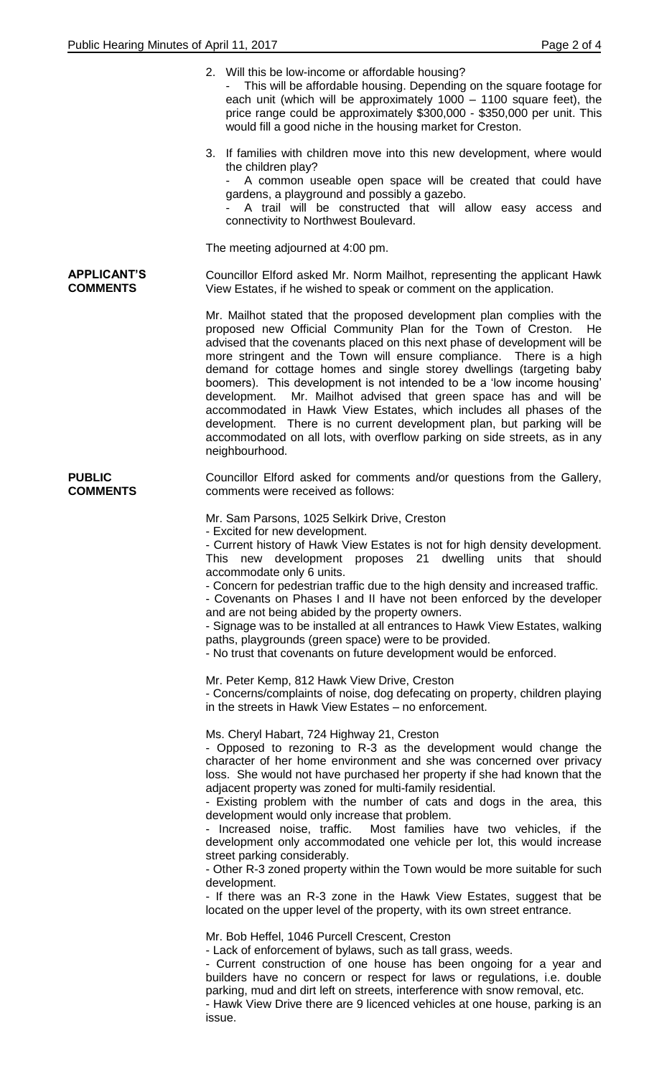|                                       | 2. Will this be low-income or affordable housing?<br>This will be affordable housing. Depending on the square footage for<br>each unit (which will be approximately 1000 - 1100 square feet), the<br>price range could be approximately \$300,000 - \$350,000 per unit. This<br>would fill a good niche in the housing market for Creston.                                                                                                                                                                                                                                                                                                                                                                                                                                                                                                                                                        |
|---------------------------------------|---------------------------------------------------------------------------------------------------------------------------------------------------------------------------------------------------------------------------------------------------------------------------------------------------------------------------------------------------------------------------------------------------------------------------------------------------------------------------------------------------------------------------------------------------------------------------------------------------------------------------------------------------------------------------------------------------------------------------------------------------------------------------------------------------------------------------------------------------------------------------------------------------|
|                                       | 3. If families with children move into this new development, where would<br>the children play?<br>A common useable open space will be created that could have<br>gardens, a playground and possibly a gazebo.<br>A trail will be constructed that will allow easy access and<br>connectivity to Northwest Boulevard.                                                                                                                                                                                                                                                                                                                                                                                                                                                                                                                                                                              |
|                                       | The meeting adjourned at 4:00 pm.                                                                                                                                                                                                                                                                                                                                                                                                                                                                                                                                                                                                                                                                                                                                                                                                                                                                 |
| <b>APPLICANT'S</b><br><b>COMMENTS</b> | Councillor Elford asked Mr. Norm Mailhot, representing the applicant Hawk<br>View Estates, if he wished to speak or comment on the application.                                                                                                                                                                                                                                                                                                                                                                                                                                                                                                                                                                                                                                                                                                                                                   |
|                                       | Mr. Mailhot stated that the proposed development plan complies with the<br>proposed new Official Community Plan for the Town of Creston.<br>He<br>advised that the covenants placed on this next phase of development will be<br>more stringent and the Town will ensure compliance. There is a high<br>demand for cottage homes and single storey dwellings (targeting baby<br>boomers). This development is not intended to be a 'low income housing'<br>development. Mr. Mailhot advised that green space has and will be<br>accommodated in Hawk View Estates, which includes all phases of the<br>development. There is no current development plan, but parking will be<br>accommodated on all lots, with overflow parking on side streets, as in any<br>neighbourhood.                                                                                                                     |
| <b>PUBLIC</b><br><b>COMMENTS</b>      | Councillor Elford asked for comments and/or questions from the Gallery,<br>comments were received as follows:                                                                                                                                                                                                                                                                                                                                                                                                                                                                                                                                                                                                                                                                                                                                                                                     |
|                                       | Mr. Sam Parsons, 1025 Selkirk Drive, Creston<br>- Excited for new development.<br>- Current history of Hawk View Estates is not for high density development.<br>This new development proposes 21 dwelling<br>units that should<br>accommodate only 6 units.<br>- Concern for pedestrian traffic due to the high density and increased traffic.<br>- Covenants on Phases I and II have not been enforced by the developer<br>and are not being abided by the property owners.<br>- Signage was to be installed at all entrances to Hawk View Estates, walking<br>paths, playgrounds (green space) were to be provided.<br>- No trust that covenants on future development would be enforced.                                                                                                                                                                                                      |
|                                       | Mr. Peter Kemp, 812 Hawk View Drive, Creston<br>- Concerns/complaints of noise, dog defecating on property, children playing<br>in the streets in Hawk View Estates – no enforcement.                                                                                                                                                                                                                                                                                                                                                                                                                                                                                                                                                                                                                                                                                                             |
|                                       | Ms. Cheryl Habart, 724 Highway 21, Creston<br>- Opposed to rezoning to R-3 as the development would change the<br>character of her home environment and she was concerned over privacy<br>loss. She would not have purchased her property if she had known that the<br>adjacent property was zoned for multi-family residential.<br>- Existing problem with the number of cats and dogs in the area, this<br>development would only increase that problem.<br>- Increased noise, traffic.<br>Most families have two vehicles, if the<br>development only accommodated one vehicle per lot, this would increase<br>street parking considerably.<br>- Other R-3 zoned property within the Town would be more suitable for such<br>development.<br>- If there was an R-3 zone in the Hawk View Estates, suggest that be<br>located on the upper level of the property, with its own street entrance. |
|                                       | Mr. Bob Heffel, 1046 Purcell Crescent, Creston<br>- Lack of enforcement of bylaws, such as tall grass, weeds.<br>- Current construction of one house has been ongoing for a year and<br>builders have no concern or respect for laws or regulations, i.e. double<br>parking, mud and dirt left on streets, interference with snow removal, etc.<br>- Hawk View Drive there are 9 licenced vehicles at one house, parking is an<br>issue.                                                                                                                                                                                                                                                                                                                                                                                                                                                          |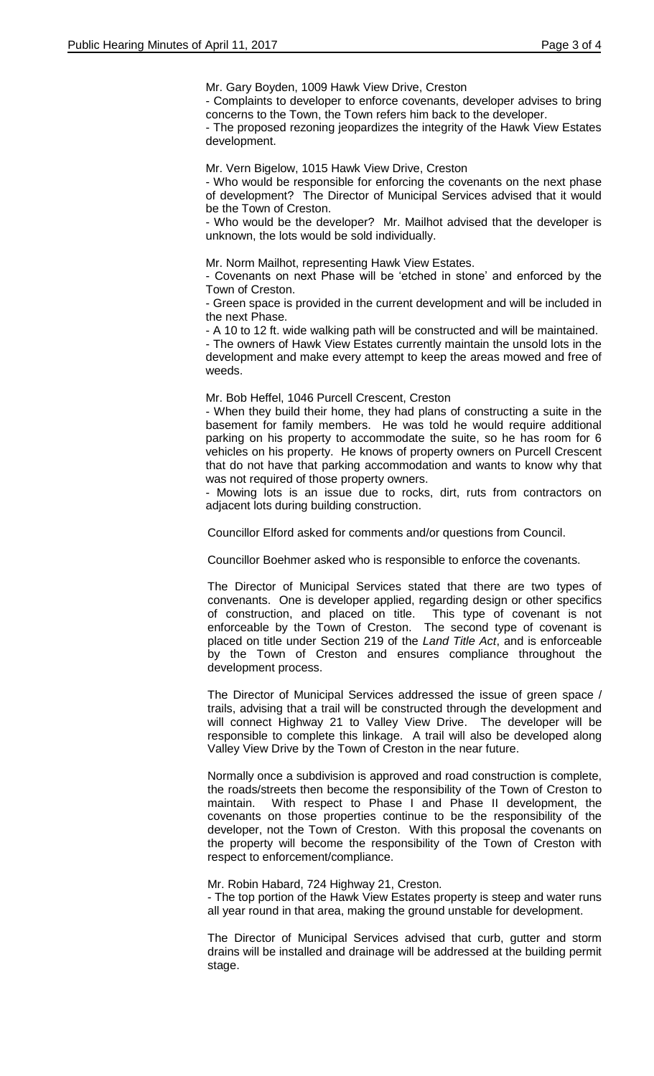Mr. Gary Boyden, 1009 Hawk View Drive, Creston

- Complaints to developer to enforce covenants, developer advises to bring concerns to the Town, the Town refers him back to the developer.

- The proposed rezoning jeopardizes the integrity of the Hawk View Estates development.

Mr. Vern Bigelow, 1015 Hawk View Drive, Creston

- Who would be responsible for enforcing the covenants on the next phase of development? The Director of Municipal Services advised that it would be the Town of Creston.

- Who would be the developer? Mr. Mailhot advised that the developer is unknown, the lots would be sold individually.

Mr. Norm Mailhot, representing Hawk View Estates.

- Covenants on next Phase will be 'etched in stone' and enforced by the Town of Creston.

- Green space is provided in the current development and will be included in the next Phase.

- A 10 to 12 ft. wide walking path will be constructed and will be maintained.

- The owners of Hawk View Estates currently maintain the unsold lots in the development and make every attempt to keep the areas mowed and free of weeds.

Mr. Bob Heffel, 1046 Purcell Crescent, Creston

- When they build their home, they had plans of constructing a suite in the basement for family members. He was told he would require additional parking on his property to accommodate the suite, so he has room for 6 vehicles on his property. He knows of property owners on Purcell Crescent that do not have that parking accommodation and wants to know why that was not required of those property owners.

- Mowing lots is an issue due to rocks, dirt, ruts from contractors on adjacent lots during building construction.

Councillor Elford asked for comments and/or questions from Council.

Councillor Boehmer asked who is responsible to enforce the covenants.

The Director of Municipal Services stated that there are two types of convenants. One is developer applied, regarding design or other specifics of construction, and placed on title. This type of covenant is not enforceable by the Town of Creston. The second type of covenant is placed on title under Section 219 of the *Land Title Act*, and is enforceable by the Town of Creston and ensures compliance throughout the development process.

The Director of Municipal Services addressed the issue of green space / trails, advising that a trail will be constructed through the development and will connect Highway 21 to Valley View Drive. The developer will be responsible to complete this linkage. A trail will also be developed along Valley View Drive by the Town of Creston in the near future.

Normally once a subdivision is approved and road construction is complete, the roads/streets then become the responsibility of the Town of Creston to maintain. With respect to Phase I and Phase II development, the covenants on those properties continue to be the responsibility of the developer, not the Town of Creston. With this proposal the covenants on the property will become the responsibility of the Town of Creston with respect to enforcement/compliance.

Mr. Robin Habard, 724 Highway 21, Creston.

- The top portion of the Hawk View Estates property is steep and water runs all year round in that area, making the ground unstable for development.

The Director of Municipal Services advised that curb, gutter and storm drains will be installed and drainage will be addressed at the building permit stage.